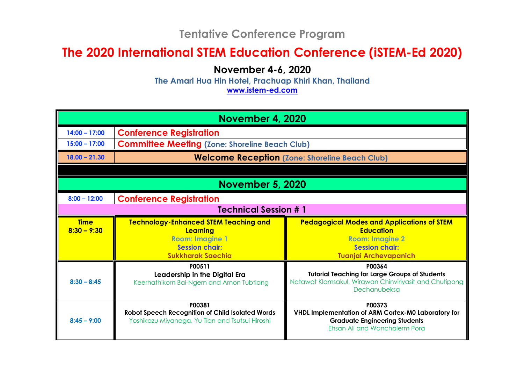## **Tentative Conference Program**

## **The 2020 International STEM Education Conference (iSTEM-Ed 2020)**

**November 4-6, 2020**

**The Amari Hua Hin Hotel, Prachuap Khiri Khan, Thailand**

**www.istem-ed.com**

| <b>November 4, 2020</b>                          |                                                                                                               |                                                                                                                                               |  |  |  |
|--------------------------------------------------|---------------------------------------------------------------------------------------------------------------|-----------------------------------------------------------------------------------------------------------------------------------------------|--|--|--|
| $14:00 - 17:00$                                  | <b>Conference Registration</b>                                                                                |                                                                                                                                               |  |  |  |
| $15:00 - 17:00$                                  | <b>Committee Meeting (Zone: Shoreline Beach Club)</b>                                                         |                                                                                                                                               |  |  |  |
| $18.00 - 21.30$                                  | <b>Welcome Reception (Zone: Shoreline Beach Club)</b>                                                         |                                                                                                                                               |  |  |  |
|                                                  |                                                                                                               |                                                                                                                                               |  |  |  |
| <b>November 5, 2020</b>                          |                                                                                                               |                                                                                                                                               |  |  |  |
| <b>Conference Registration</b><br>$8:00 - 12:00$ |                                                                                                               |                                                                                                                                               |  |  |  |
| <b>Technical Session # 1</b>                     |                                                                                                               |                                                                                                                                               |  |  |  |
| <b>Time</b><br>$8:30 - 9:30$                     | <b>Technology-Enhanced STEM Teaching and</b><br>Learning<br><b>Room: Imagine 1</b>                            | <b>Pedagogical Modes and Applications of STEM</b><br><b>Education</b><br><b>Room: Imagine 2</b>                                               |  |  |  |
|                                                  | <b>Session chair:</b><br><b>Sukkharak Saechia</b>                                                             | <b>Session chair:</b><br><b>Tuanjai Archevapanich</b>                                                                                         |  |  |  |
| $8:30 - 8:45$                                    | P00511<br>Leadership in the Digital Era<br>Keerhathikorn Bai-Ngern and Arnon Tubtiang                         | P00364<br><b>Tutorial Teaching for Large Groups of Students</b><br>Natawat Klamsakul, Wirawan Chinviriyasit and Chutipong<br>Dechanubeksa     |  |  |  |
| $8:45 - 9:00$                                    | P00381<br>Robot Speech Recognition of Child Isolated Words<br>Yoshikazu Miyanaga, Yu Tian and Tsutsui Hiroshi | P00373<br><b>VHDL Implementation of ARM Cortex-M0 Laboratory for</b><br><b>Graduate Engineering Students</b><br>Ehsan Ali and Wanchalerm Pora |  |  |  |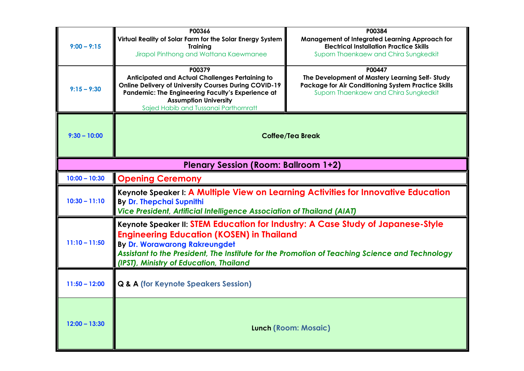| $9:00 - 9:15$<br>$9:15 - 9:30$              | P00366<br>Virtual Reality of Solar Farm for the Solar Energy System<br><b>Training</b><br>Jirapol Pinthong and Wattana Kaewmanee<br>P00379<br><b>Anticipated and Actual Challenges Pertaining to</b><br><b>Online Delivery of University Courses During COVID-19</b><br>Pandemic: The Engineering Faculty's Experience at | P00384<br>Management of Integrated Learning Approach for<br><b>Electrical Installation Practice Skills</b><br>Suporn Thaenkaew and Chira Sungkedkit<br>P00447<br>The Development of Mastery Learning Self-Study<br>Package for Air Conditioning System Practice Skills<br>Suporn Thaenkaew and Chira Sungkedkit |  |  |
|---------------------------------------------|---------------------------------------------------------------------------------------------------------------------------------------------------------------------------------------------------------------------------------------------------------------------------------------------------------------------------|-----------------------------------------------------------------------------------------------------------------------------------------------------------------------------------------------------------------------------------------------------------------------------------------------------------------|--|--|
| $9:30 - 10:00$                              | <b>Assumption University</b><br>Sajed Habib and Tussanai Parthornratt<br><b>Coffee/Tea Break</b>                                                                                                                                                                                                                          |                                                                                                                                                                                                                                                                                                                 |  |  |
| <b>Plenary Session (Room: Ballroom 1+2)</b> |                                                                                                                                                                                                                                                                                                                           |                                                                                                                                                                                                                                                                                                                 |  |  |
| $10:00 - 10:30$                             | <b>Opening Ceremony</b>                                                                                                                                                                                                                                                                                                   |                                                                                                                                                                                                                                                                                                                 |  |  |
| $10:30 - 11:10$                             | Keynote Speaker I: A Multiple View on Learning Activities for Innovative Education<br>By Dr. Thepchai Supnithi<br>Vice President, Artificial Intelligence Association of Thailand (AIAT)                                                                                                                                  |                                                                                                                                                                                                                                                                                                                 |  |  |
| $11:10 - 11:50$                             | Keynote Speaker II: STEM Education for Industry: A Case Study of Japanese-Style<br><b>Engineering Education (KOSEN) in Thailand</b><br><b>By Dr. Worawarong Rakreungdet</b><br>Assistant to the President, The Institute for the Promotion of Teaching Science and Technology<br>(IPST), Ministry of Education, Thailand  |                                                                                                                                                                                                                                                                                                                 |  |  |
| $11:50 - 12:00$                             | <b>Q &amp; A (for Keynote Speakers Session)</b>                                                                                                                                                                                                                                                                           |                                                                                                                                                                                                                                                                                                                 |  |  |
| $12:00 - 13:30$                             |                                                                                                                                                                                                                                                                                                                           | <b>Lunch (Room: Mosaic)</b>                                                                                                                                                                                                                                                                                     |  |  |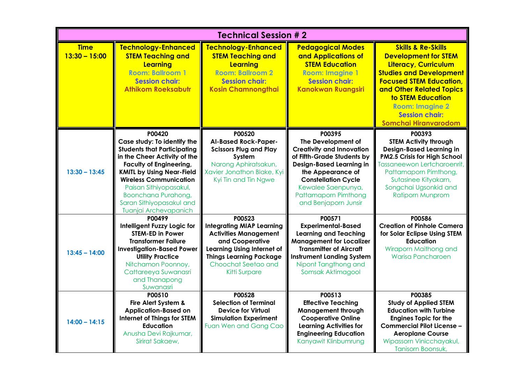| <b>Technical Session #2</b>    |                                                                                                                                                                                                                                                                                                                          |                                                                                                                                                                                                       |                                                                                                                                                                                                                                                            |                                                                                                                                                                                                                                                                                                    |
|--------------------------------|--------------------------------------------------------------------------------------------------------------------------------------------------------------------------------------------------------------------------------------------------------------------------------------------------------------------------|-------------------------------------------------------------------------------------------------------------------------------------------------------------------------------------------------------|------------------------------------------------------------------------------------------------------------------------------------------------------------------------------------------------------------------------------------------------------------|----------------------------------------------------------------------------------------------------------------------------------------------------------------------------------------------------------------------------------------------------------------------------------------------------|
| <b>Time</b><br>$13:30 - 15:00$ | <b>Technology-Enhanced</b><br><b>STEM Teaching and</b><br>Learning<br><b>Room: Ballroom 1</b><br><b>Session chair:</b><br><b>Athikom Roeksabutr</b>                                                                                                                                                                      | <b>Technology-Enhanced</b><br><b>STEM Teaching and</b><br>Learning<br><b>Room: Ballroom 2</b><br><b>Session chair:</b><br><b>Kosin Chamnongthai</b>                                                   | <b>Pedagogical Modes</b><br>and Applications of<br><b>STEM Education</b><br><b>Room: Imagine 1</b><br><b>Session chair:</b><br><b>Kanokwan Ruangsiri</b>                                                                                                   | <b>Skills &amp; Re-Skills</b><br><b>Development for STEM</b><br>Literacy, Curriculum<br><b>Studies and Development</b><br><b>Focused STEM Education,</b><br>and Other Related Topics<br><b>to STEM Education</b><br><b>Room: Imagine 2</b><br><b>Session chair:</b><br><b>Somchai Hiranvarodom</b> |
| $13:30 - 13:45$                | P00420<br>Case study: To identify the<br><b>Students that Participating</b><br>in the Cheer Activity of the<br><b>Faculty of Engineering,</b><br><b>KMITL by Using Near-Field</b><br><b>Wireless Communication</b><br>Paisan Sithiyopasakul,<br>Boonchana Purahong,<br>Saran Sithiyopasakul and<br>Tuanjai Archevapanich | P00520<br><b>AI-Based Rock-Paper-</b><br><b>Scissors Plug and Play</b><br>System<br>Narong Aphiratsakun,<br>Xavier Jonathon Blake, Kyi<br>Kyi Tin and Tin Ngwe                                        | P00395<br>The Development of<br><b>Creativity and Innovation</b><br>of Fifth-Grade Students by<br><b>Design-Based Learning in</b><br>the Appearance of<br><b>Constellation Cycle</b><br>Kewalee Saenpunya,<br>Pattamaporn Pimthong<br>and Benjaporn Junsir | P00393<br><b>STEM Activity through</b><br><b>Design-Based Learning in</b><br>PM2.5 Crisis for High School<br>Tassaneewon Lertcharoenrit,<br>Pattamaporn Pimthong,<br>Sutasinee Kityakarn,<br>Songchai Ugsonkid and<br><b>Ratiporn Munprom</b>                                                      |
| $13:45 - 14:00$                | P00499<br>Intelligent Fuzzy Logic for<br><b>STEM-ED in Power</b><br><b>Transformer Failure</b><br><b>Investigation-Based Power</b><br><b>Utility Practice</b><br>Nitchamon Poonnoy,<br>Cattareeya Suwanasri<br>and Thanapong<br>Suwanasri                                                                                | P00523<br><b>Integrating MIAP Learning</b><br><b>Activities Management</b><br>and Cooperative<br>Learning Using Internet of<br><b>Things Learning Package</b><br>Choochat Seetao and<br>Kitti Surpare | P00571<br><b>Experimental-Based</b><br><b>Learning and Teaching</b><br><b>Management for Localizer</b><br><b>Transmitter of Aircraft</b><br><b>Instrument Landing System</b><br>Nipont Tangthong and<br>Somsak Aktimagool                                  | P00586<br><b>Creation of Pinhole Camera</b><br>for Solar Eclipse Using STEM<br><b>Education</b><br>Wiraporn Maithong and<br><b>Warisa Pancharoen</b>                                                                                                                                               |
| $14:00 - 14:15$                | P00510<br>Fire Alert System &<br><b>Application-Based on</b><br><b>Internet of Things for STEM</b><br><b>Education</b><br>Anusha Devi Rajkumar,<br>Sirirat Sakaew,                                                                                                                                                       | P00528<br><b>Selection of Terminal</b><br><b>Device for Virtual</b><br><b>Simulation Experiment</b><br>Fuan Wen and Gang Cao                                                                          | P00513<br><b>Effective Teaching</b><br><b>Management through</b><br><b>Cooperative Online</b><br><b>Learning Activities for</b><br><b>Engineering Education</b><br>Kanyawit Klinbumrung                                                                    | P00385<br><b>Study of Applied STEM</b><br><b>Education with Turbine</b><br><b>Engines Topic for the</b><br><b>Commercial Pilot License -</b><br><b>Aeroplane Course</b><br>Wipassorn Vinicchayakul,<br>Tanisorn Boonsuk,                                                                           |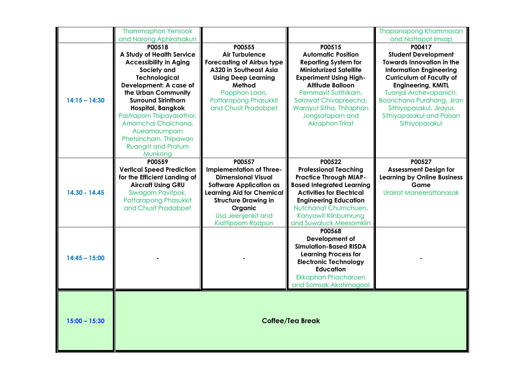|                 | <b>Thammaphon Yensook</b><br>and Narong Aphiratsakun                                                                                                                                                                                                                                                                                                           |                                                                                                                                                                                                                            |                                                                                                                                                                                                                                                                                            | Thapanapong Khammasan<br>and Nattapat Imsap                                                                                                                                                                                                                                                                 |
|-----------------|----------------------------------------------------------------------------------------------------------------------------------------------------------------------------------------------------------------------------------------------------------------------------------------------------------------------------------------------------------------|----------------------------------------------------------------------------------------------------------------------------------------------------------------------------------------------------------------------------|--------------------------------------------------------------------------------------------------------------------------------------------------------------------------------------------------------------------------------------------------------------------------------------------|-------------------------------------------------------------------------------------------------------------------------------------------------------------------------------------------------------------------------------------------------------------------------------------------------------------|
| $14:15 - 14:30$ | P00518<br>A Study of Health Service<br><b>Accessibility in Aging</b><br>Society and<br><b>Technological</b><br>Development: A case of<br>the Urban Community<br><b>Surround Sirinthorn</b><br><b>Hospital, Bangkok</b><br>Pastraporn Thipayasothor,<br>Amornchai Chaichana,<br>Aueamaumporn<br>Phetsinchorn, Thipawan<br><b>Ruangrit and Pratum</b><br>Munkong | P00555<br><b>Air Turbulence</b><br><b>Forecasting of Airbus type</b><br>A320 in Southeast Asia<br><b>Using Deep Learning</b><br>Method<br>Popphon Laon,<br>Pattarapong Phasukkit<br>and Chusit Pradabpet                   | P00515<br><b>Automatic Position</b><br><b>Reporting System for</b><br><b>Miniaturized Satellite</b><br><b>Experiment Using High-</b><br><b>Altitude Balloon</b><br>Pemmavit Sutthikarn,<br>Sorawat Chivapreecha,<br>Warayut Sitha, Thitaphan<br>Jongsataporn and<br><b>Akraphon Trirat</b> | P00417<br><b>Student Development</b><br><b>Towards Innovation in the</b><br><b>Information Engineering</b><br><b>Curriculum of Faculty of</b><br><b>Engineering, KMITL</b><br>Tuanjai Archevapanich,<br>Boonchana Purahong, Jiran<br>Sithiyopasakul, Jirayus<br>Sithiyopasakul and Paisan<br>Sithiyopasakul |
| 14.30 - 14.45   | P00559<br><b>Vertical Speed Prediction</b><br>for the Efficient Landing of<br><b>Aircraft Using GRU</b><br>Siwagorn Pavitpok,<br>Pattarapong Phasukkit<br>and Chusit Pradabpet                                                                                                                                                                                 | P00557<br><b>Implementation of Three-</b><br><b>Dimensional Visual</b><br><b>Software Application as</b><br>Learning Aid for Chemical<br><b>Structure Drawing in</b><br>Organic<br>Usa Jeenjenkit and<br>Kiattipoom Rodpun | P00522<br><b>Professional Teaching</b><br><b>Practice Through MIAP-</b><br><b>Based Integrated Learning</b><br><b>Activities for Electrical</b><br><b>Engineering Education</b><br>Nutchanat Chumchuen,<br>Kanyawit Klinbumrung<br>and Suwaluck Meesomklin                                 | P00527<br><b>Assessment Design for</b><br><b>Learning by Online Business</b><br>Game<br>Urairat Maneerattanasak                                                                                                                                                                                             |
| $14:45 - 15:00$ |                                                                                                                                                                                                                                                                                                                                                                |                                                                                                                                                                                                                            | P00568<br>Development of<br><b>Simulation-Based RISDA</b><br><b>Learning Process for</b><br><b>Electronic Technology</b><br><b>Education</b><br>Ekkaphan Phacharoen<br>and Somsak Akatimagool                                                                                              |                                                                                                                                                                                                                                                                                                             |
| $15:00 - 15:30$ |                                                                                                                                                                                                                                                                                                                                                                |                                                                                                                                                                                                                            | <b>Coffee/Tea Break</b>                                                                                                                                                                                                                                                                    |                                                                                                                                                                                                                                                                                                             |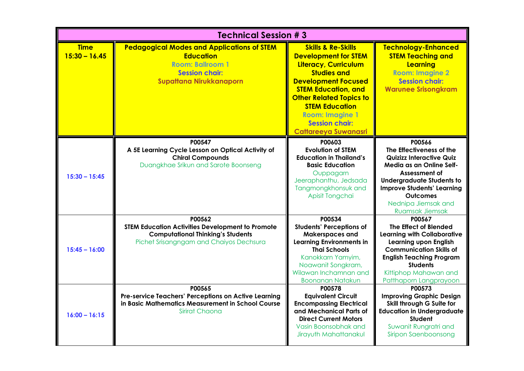| <b>Technical Session #3</b>    |                                                                                                                                                             |                                                                                                                                                                                                                                                                                                                     |                                                                                                                                                                                                                                                                 |
|--------------------------------|-------------------------------------------------------------------------------------------------------------------------------------------------------------|---------------------------------------------------------------------------------------------------------------------------------------------------------------------------------------------------------------------------------------------------------------------------------------------------------------------|-----------------------------------------------------------------------------------------------------------------------------------------------------------------------------------------------------------------------------------------------------------------|
| <b>Time</b><br>$15:30 - 16.45$ | <b>Pedagogical Modes and Applications of STEM</b><br><b>Education</b><br><b>Room: Ballroom 1</b><br><b>Session chair:</b><br><b>Supattana Nirukkanaporn</b> | <b>Skills &amp; Re-Skills</b><br><b>Development for STEM</b><br>Literacy, Curriculum<br><b>Studies and</b><br><b>Development Focused</b><br><b>STEM Education, and</b><br><b>Other Related Topics to</b><br><b>STEM Education</b><br><b>Room: Imagine 1</b><br><b>Session chair:</b><br><b>Cattareeya Suwanasri</b> | <b>Technology-Enhanced</b><br><b>STEM Teaching and</b><br>Learning<br><b>Room: Imagine 2</b><br><b>Session chair:</b><br><b>Warunee Srisongkram</b>                                                                                                             |
| $15:30 - 15:45$                | P00547<br>A 5E Learning Cycle Lesson on Optical Activity of<br><b>Chiral Compounds</b><br>Duangkhae Srikun and Sarote Boonseng                              | P00603<br><b>Evolution of STEM</b><br><b>Education in Thailand's</b><br><b>Basic Education</b><br>Ouppagarn<br>Jeeraphanthu, Jedsada<br>Tangmongkhonsuk and<br>Apisit Tongchai                                                                                                                                      | P00566<br>The Effectiveness of the<br><b>Quizizz Interactive Quiz</b><br>Media as an Online Self-<br>Assessment of<br><b>Undergraduate Students to</b><br><b>Improve Students' Learning</b><br><b>Outcomes</b><br>Nednipa Jiemsak and<br><b>Ruamsak Jiemsak</b> |
| $15:45 - 16:00$                | P00562<br><b>STEM Education Activities Development to Promote</b><br><b>Computational Thinking's Students</b><br>Pichet Srisangngam and Chaiyos Dechsura    | P00534<br><b>Students' Perceptions of</b><br>Makerspaces and<br><b>Learning Environments in</b><br><b>Thai Schools</b><br>Kanokkarn Yamyim,<br>Noawanit Songkram,<br>Wilawan Inchamnan and<br><b>Boonanan Natakun</b>                                                                                               | P00567<br>The Effect of Blended<br><b>Learning with Collaborative</b><br><b>Learning upon English</b><br><b>Communication Skills of</b><br><b>English Teaching Program</b><br><b>Students</b><br>Kittiphop Mahawan and<br>Patthaporn Langprayoon                |
| $16:00 - 16:15$                | P00565<br>Pre-service Teachers' Perceptions on Active Learning<br>in Basic Mathematics Measurement in School Course<br>Sirirat Chaona                       | P00578<br><b>Equivalent Circuit</b><br><b>Encompassing Electrical</b><br>and Mechanical Parts of<br><b>Direct Current Motors</b><br>Vasin Boonsobhak and<br>Jirayuth Mahattanakul                                                                                                                                   | P00573<br><b>Improving Graphic Design</b><br>Skill through G Suite for<br><b>Education in Undergraduate</b><br><b>Student</b><br>Suwanit Rungratri and<br>Siripon Saenboonsong                                                                                  |